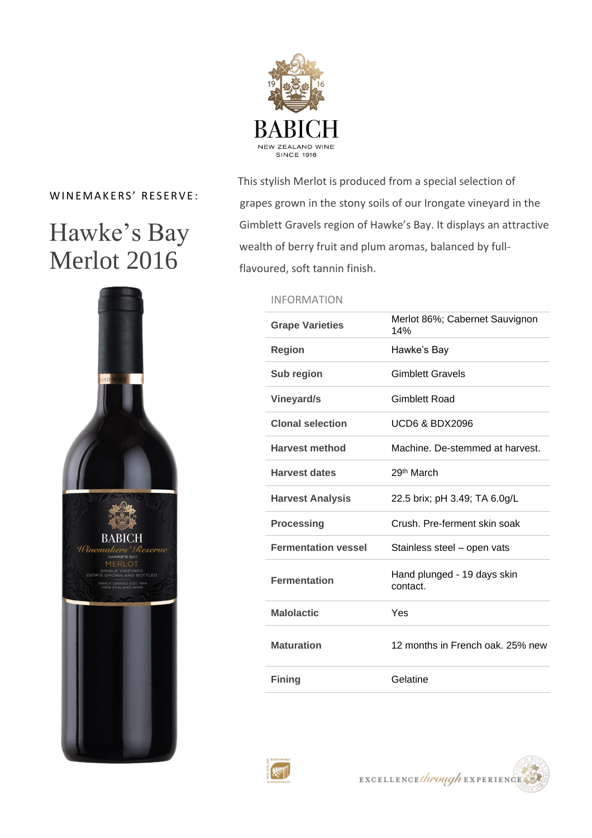

### WINEMAKERS' RESERVE:

## Hawke's Bay Merlot 2016



 This stylish Merlot is produced from a special selection of grapes grown in the stony soils of our Irongate vineyard in the Gimblett Gravels region of Hawke's Bay. It displays an attractive wealth of berry fruit and plum aromas, balanced by fullflavoured, soft tannin finish.

### INFORMATION

| <b>Grape Varieties</b>     | Merlot 86%; Cabernet Sauvignon<br>14%   |
|----------------------------|-----------------------------------------|
| <b>Region</b>              | Hawke's Bay                             |
| Sub region                 | <b>Gimblett Gravels</b>                 |
| <b>Vineyard/s</b>          | Gimblett Road                           |
| <b>Clonal selection</b>    | UCD6 & BDX2096                          |
| <b>Harvest method</b>      | Machine. De-stemmed at harvest.         |
| <b>Harvest dates</b>       | 29 <sup>th</sup> March                  |
| <b>Harvest Analysis</b>    | 22.5 brix; pH 3.49; TA 6.0g/L           |
| <b>Processing</b>          | Crush, Pre-ferment skin soak            |
| <b>Fermentation vessel</b> | Stainless steel - open vats             |
| <b>Fermentation</b>        | Hand plunged - 19 days skin<br>contact. |
| <b>Malolactic</b>          | Yes                                     |
| <b>Maturation</b>          | 12 months in French oak, 25% new        |
| <b>Fining</b>              | Gelatine                                |